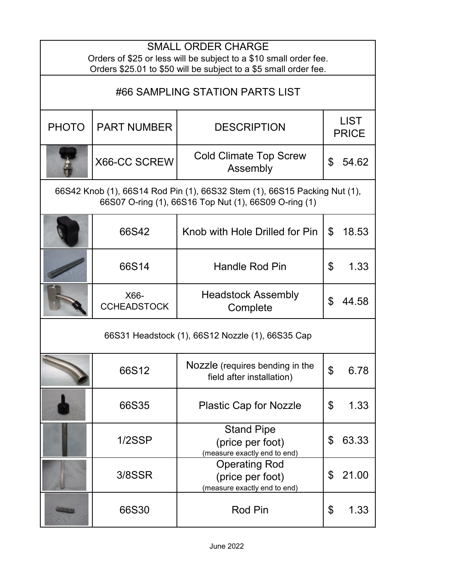| <b>SMALL ORDER CHARGE</b><br>Orders of \$25 or less will be subject to a \$10 small order fee.<br>Orders \$25.01 to \$50 will be subject to a \$5 small order fee. |                            |                                                                          |                             |       |
|--------------------------------------------------------------------------------------------------------------------------------------------------------------------|----------------------------|--------------------------------------------------------------------------|-----------------------------|-------|
| #66 SAMPLING STATION PARTS LIST                                                                                                                                    |                            |                                                                          |                             |       |
| <b>PHOTO</b>                                                                                                                                                       | <b>PART NUMBER</b>         | <b>DESCRIPTION</b>                                                       | <b>LIST</b><br><b>PRICE</b> |       |
|                                                                                                                                                                    | X66-CC SCREW               | <b>Cold Climate Top Screw</b><br>Assembly                                | \$                          | 54.62 |
| 66S42 Knob (1), 66S14 Rod Pin (1), 66S32 Stem (1), 66S15 Packing Nut (1),<br>66S07 O-ring (1), 66S16 Top Nut (1), 66S09 O-ring (1)                                 |                            |                                                                          |                             |       |
|                                                                                                                                                                    | 66S42                      | Knob with Hole Drilled for Pin                                           | \$                          | 18.53 |
|                                                                                                                                                                    | 66S14                      | <b>Handle Rod Pin</b>                                                    | \$                          | 1.33  |
|                                                                                                                                                                    | X66-<br><b>CCHEADSTOCK</b> | <b>Headstock Assembly</b><br>Complete                                    | \$                          | 44.58 |
| 66S31 Headstock (1), 66S12 Nozzle (1), 66S35 Cap                                                                                                                   |                            |                                                                          |                             |       |
|                                                                                                                                                                    | 66S12                      | Nozzle (requires bending in the<br>field after installation)             | ¢                           | 6.78  |
|                                                                                                                                                                    | 66S35                      | <b>Plastic Cap for Nozzle</b>                                            | \$                          | 1.33  |
|                                                                                                                                                                    | 1/2SSP                     | <b>Stand Pipe</b><br>(price per foot)<br>(measure exactly end to end)    | \$                          | 63.33 |
|                                                                                                                                                                    | 3/8SSR                     | <b>Operating Rod</b><br>(price per foot)<br>(measure exactly end to end) | \$                          | 21.00 |
|                                                                                                                                                                    | 66S30                      | <b>Rod Pin</b>                                                           | \$                          | 1.33  |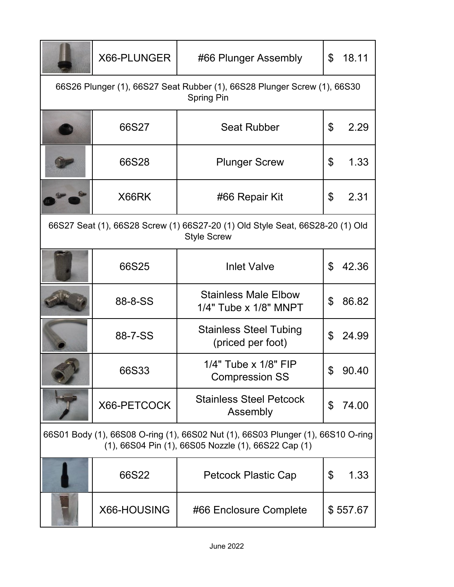|                                                                                                                                         | X66-PLUNGER | #66 Plunger Assembly                                 | \$  | 18.11    |
|-----------------------------------------------------------------------------------------------------------------------------------------|-------------|------------------------------------------------------|-----|----------|
| 66S26 Plunger (1), 66S27 Seat Rubber (1), 66S28 Plunger Screw (1), 66S30<br><b>Spring Pin</b>                                           |             |                                                      |     |          |
|                                                                                                                                         | 66S27       | <b>Seat Rubber</b>                                   | \$  | 2.29     |
|                                                                                                                                         | 66S28       | <b>Plunger Screw</b>                                 | \$  | 1.33     |
|                                                                                                                                         | X66RK       | #66 Repair Kit                                       | \$  | 2.31     |
| 66S27 Seat (1), 66S28 Screw (1) 66S27-20 (1) Old Style Seat, 66S28-20 (1) Old<br><b>Style Screw</b>                                     |             |                                                      |     |          |
|                                                                                                                                         | 66S25       | <b>Inlet Valve</b>                                   | \$  | 42.36    |
|                                                                                                                                         | 88-8-SS     | <b>Stainless Male Elbow</b><br>1/4" Tube x 1/8" MNPT | \$  | 86.82    |
|                                                                                                                                         | 88-7-SS     | <b>Stainless Steel Tubing</b><br>(priced per foot)   | \$  | 24.99    |
|                                                                                                                                         | 66S33       | $1/4$ " Tube x $1/8$ " FIP<br><b>Compression SS</b>  | \$. | 90.40    |
|                                                                                                                                         | X66-PETCOCK | <b>Stainless Steel Petcock</b><br>Assembly           | \$  | 74.00    |
| 66S01 Body (1), 66S08 O-ring (1), 66S02 Nut (1), 66S03 Plunger (1), 66S10 O-ring<br>(1), 66S04 Pin (1), 66S05 Nozzle (1), 66S22 Cap (1) |             |                                                      |     |          |
|                                                                                                                                         | 66S22       | <b>Petcock Plastic Cap</b>                           | \$  | 1.33     |
|                                                                                                                                         | X66-HOUSING | #66 Enclosure Complete                               |     | \$557.67 |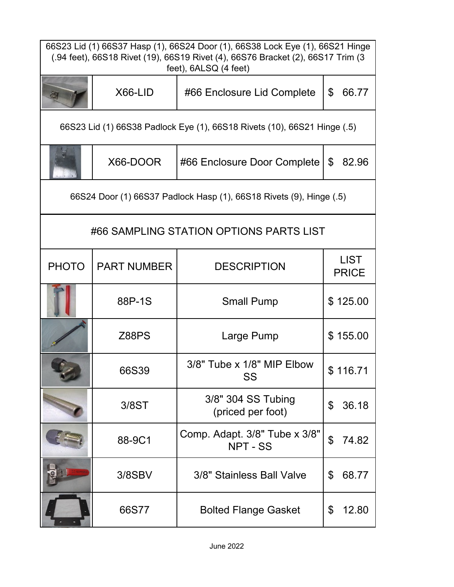| 66S23 Lid (1) 66S37 Hasp (1), 66S24 Door (1), 66S38 Lock Eye (1), 66S21 Hinge<br>(.94 feet), 66S18 Rivet (19), 66S19 Rivet (4), 66S76 Bracket (2), 66S17 Trim (3<br>feet), 6ALSQ (4 feet) |                    |                                         |                             |  |  |
|-------------------------------------------------------------------------------------------------------------------------------------------------------------------------------------------|--------------------|-----------------------------------------|-----------------------------|--|--|
|                                                                                                                                                                                           | X66-LID            | #66 Enclosure Lid Complete              | \$<br>66.77                 |  |  |
| 66S23 Lid (1) 66S38 Padlock Eye (1), 66S18 Rivets (10), 66S21 Hinge (.5)                                                                                                                  |                    |                                         |                             |  |  |
|                                                                                                                                                                                           | X66-DOOR           | #66 Enclosure Door Complete             | $\mathfrak{F}$<br>82.96     |  |  |
| 66S24 Door (1) 66S37 Padlock Hasp (1), 66S18 Rivets (9), Hinge (.5)                                                                                                                       |                    |                                         |                             |  |  |
| #66 SAMPLING STATION OPTIONS PARTS LIST                                                                                                                                                   |                    |                                         |                             |  |  |
| <b>PHOTO</b>                                                                                                                                                                              | <b>PART NUMBER</b> | <b>DESCRIPTION</b>                      | <b>LIST</b><br><b>PRICE</b> |  |  |
|                                                                                                                                                                                           | 88P-1S             | <b>Small Pump</b>                       | \$125.00                    |  |  |
|                                                                                                                                                                                           | <b>Z88PS</b>       | Large Pump                              | \$155.00                    |  |  |
|                                                                                                                                                                                           | 66S39              | 3/8" Tube x 1/8" MIP Elbow<br>SS        | \$116.71                    |  |  |
|                                                                                                                                                                                           | 3/8ST              | 3/8" 304 SS Tubing<br>(priced per foot) | 36.18<br>\$                 |  |  |
|                                                                                                                                                                                           | 88-9C1             | Comp. Adapt. 3/8" Tube x 3/8"<br>NPT-SS | \$<br>74.82                 |  |  |
|                                                                                                                                                                                           | 3/8SBV             | 3/8" Stainless Ball Valve               | 68.77<br>\$                 |  |  |
|                                                                                                                                                                                           | 66S77              | <b>Bolted Flange Gasket</b>             | \$<br>12.80                 |  |  |